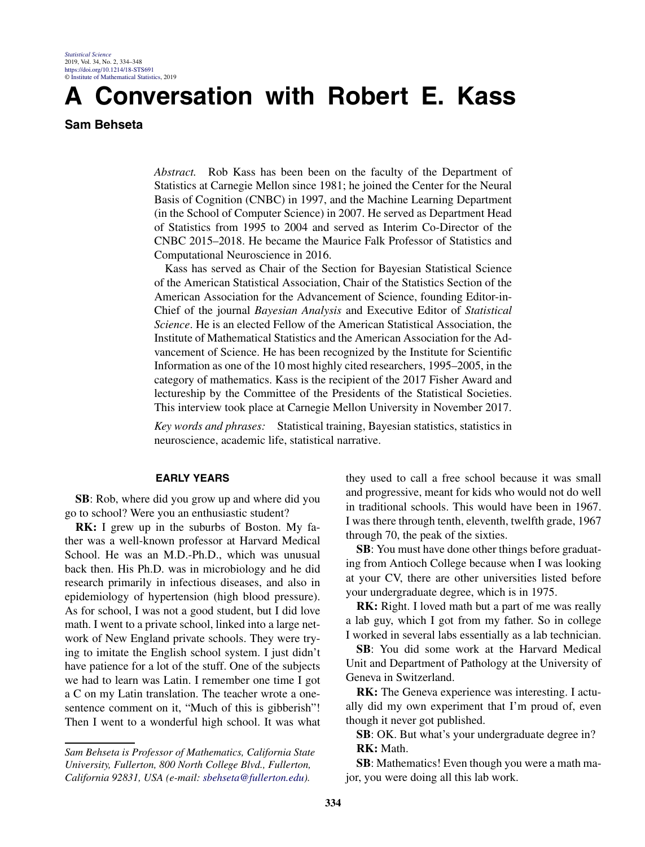# **A Conversation with Robert E. Kass**

## **Sam Behseta**

*Abstract.* Rob Kass has been been on the faculty of the Department of Statistics at Carnegie Mellon since 1981; he joined the Center for the Neural Basis of Cognition (CNBC) in 1997, and the Machine Learning Department (in the School of Computer Science) in 2007. He served as Department Head of Statistics from 1995 to 2004 and served as Interim Co-Director of the CNBC 2015–2018. He became the Maurice Falk Professor of Statistics and Computational Neuroscience in 2016.

Kass has served as Chair of the Section for Bayesian Statistical Science of the American Statistical Association, Chair of the Statistics Section of the American Association for the Advancement of Science, founding Editor-in-Chief of the journal *Bayesian Analysis* and Executive Editor of *Statistical Science*. He is an elected Fellow of the American Statistical Association, the Institute of Mathematical Statistics and the American Association for the Advancement of Science. He has been recognized by the Institute for Scientific Information as one of the 10 most highly cited researchers, 1995–2005, in the category of mathematics. Kass is the recipient of the 2017 Fisher Award and lectureship by the Committee of the Presidents of the Statistical Societies. This interview took place at Carnegie Mellon University in November 2017.

*Key words and phrases:* Statistical training, Bayesian statistics, statistics in neuroscience, academic life, statistical narrative.

#### **EARLY YEARS**

**SB**: Rob, where did you grow up and where did you go to school? Were you an enthusiastic student?

**RK:** I grew up in the suburbs of Boston. My father was a well-known professor at Harvard Medical School. He was an M.D.-Ph.D., which was unusual back then. His Ph.D. was in microbiology and he did research primarily in infectious diseases, and also in epidemiology of hypertension (high blood pressure). As for school, I was not a good student, but I did love math. I went to a private school, linked into a large network of New England private schools. They were trying to imitate the English school system. I just didn't have patience for a lot of the stuff. One of the subjects we had to learn was Latin. I remember one time I got a C on my Latin translation. The teacher wrote a onesentence comment on it, "Much of this is gibberish"! Then I went to a wonderful high school. It was what

they used to call a free school because it was small and progressive, meant for kids who would not do well in traditional schools. This would have been in 1967. I was there through tenth, eleventh, twelfth grade, 1967 through 70, the peak of the sixties.

**SB**: You must have done other things before graduating from Antioch College because when I was looking at your CV, there are other universities listed before your undergraduate degree, which is in 1975.

**RK:** Right. I loved math but a part of me was really a lab guy, which I got from my father. So in college I worked in several labs essentially as a lab technician.

**SB**: You did some work at the Harvard Medical Unit and Department of Pathology at the University of Geneva in Switzerland.

**RK:** The Geneva experience was interesting. I actually did my own experiment that I'm proud of, even though it never got published.

**SB**: OK. But what's your undergraduate degree in? **RK:** Math.

**SB**: Mathematics! Even though you were a math major, you were doing all this lab work.

*Sam Behseta is Professor of Mathematics, California State University, Fullerton, 800 North College Blvd., Fullerton, California 92831, USA (e-mail: [sbehseta@fullerton.edu\)](mailto:sbehseta@fullerton.edu).*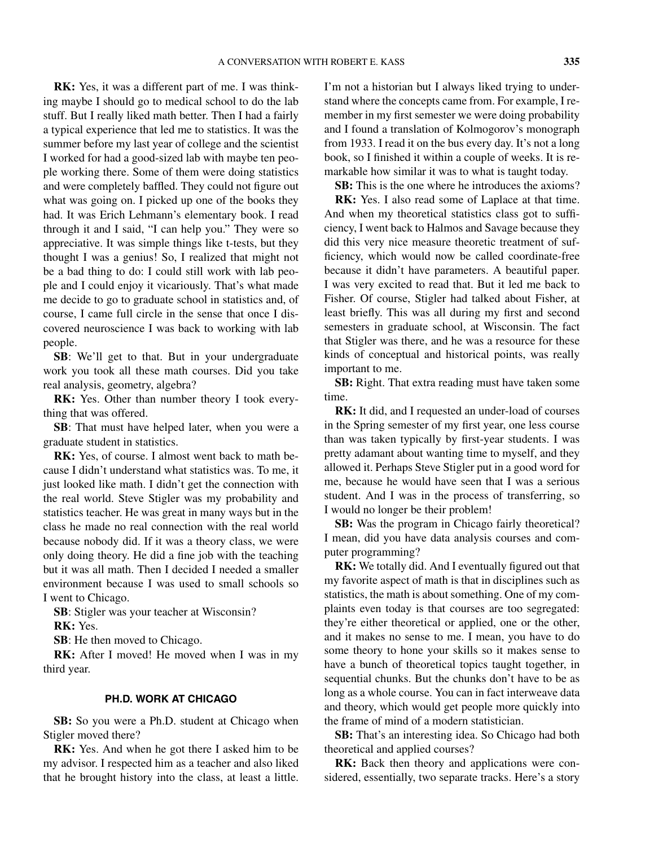**RK:** Yes, it was a different part of me. I was thinking maybe I should go to medical school to do the lab stuff. But I really liked math better. Then I had a fairly a typical experience that led me to statistics. It was the summer before my last year of college and the scientist I worked for had a good-sized lab with maybe ten people working there. Some of them were doing statistics and were completely baffled. They could not figure out what was going on. I picked up one of the books they had. It was Erich Lehmann's elementary book. I read through it and I said, "I can help you." They were so appreciative. It was simple things like t-tests, but they thought I was a genius! So, I realized that might not be a bad thing to do: I could still work with lab people and I could enjoy it vicariously. That's what made me decide to go to graduate school in statistics and, of course, I came full circle in the sense that once I discovered neuroscience I was back to working with lab people.

**SB**: We'll get to that. But in your undergraduate work you took all these math courses. Did you take real analysis, geometry, algebra?

**RK:** Yes. Other than number theory I took everything that was offered.

**SB**: That must have helped later, when you were a graduate student in statistics.

**RK:** Yes, of course. I almost went back to math because I didn't understand what statistics was. To me, it just looked like math. I didn't get the connection with the real world. Steve Stigler was my probability and statistics teacher. He was great in many ways but in the class he made no real connection with the real world because nobody did. If it was a theory class, we were only doing theory. He did a fine job with the teaching but it was all math. Then I decided I needed a smaller environment because I was used to small schools so I went to Chicago.

**SB**: Stigler was your teacher at Wisconsin?

**RK:** Yes.

**SB**: He then moved to Chicago.

**RK:** After I moved! He moved when I was in my third year.

### **PH.D. WORK AT CHICAGO**

**SB:** So you were a Ph.D. student at Chicago when Stigler moved there?

**RK:** Yes. And when he got there I asked him to be my advisor. I respected him as a teacher and also liked that he brought history into the class, at least a little. I'm not a historian but I always liked trying to understand where the concepts came from. For example, I remember in my first semester we were doing probability and I found a translation of Kolmogorov's monograph from 1933. I read it on the bus every day. It's not a long book, so I finished it within a couple of weeks. It is remarkable how similar it was to what is taught today.

**SB:** This is the one where he introduces the axioms?

**RK:** Yes. I also read some of Laplace at that time. And when my theoretical statistics class got to sufficiency, I went back to Halmos and Savage because they did this very nice measure theoretic treatment of sufficiency, which would now be called coordinate-free because it didn't have parameters. A beautiful paper. I was very excited to read that. But it led me back to Fisher. Of course, Stigler had talked about Fisher, at least briefly. This was all during my first and second semesters in graduate school, at Wisconsin. The fact that Stigler was there, and he was a resource for these kinds of conceptual and historical points, was really important to me.

**SB:** Right. That extra reading must have taken some time.

**RK:** It did, and I requested an under-load of courses in the Spring semester of my first year, one less course than was taken typically by first-year students. I was pretty adamant about wanting time to myself, and they allowed it. Perhaps Steve Stigler put in a good word for me, because he would have seen that I was a serious student. And I was in the process of transferring, so I would no longer be their problem!

**SB:** Was the program in Chicago fairly theoretical? I mean, did you have data analysis courses and computer programming?

**RK:** We totally did. And I eventually figured out that my favorite aspect of math is that in disciplines such as statistics, the math is about something. One of my complaints even today is that courses are too segregated: they're either theoretical or applied, one or the other, and it makes no sense to me. I mean, you have to do some theory to hone your skills so it makes sense to have a bunch of theoretical topics taught together, in sequential chunks. But the chunks don't have to be as long as a whole course. You can in fact interweave data and theory, which would get people more quickly into the frame of mind of a modern statistician.

**SB:** That's an interesting idea. So Chicago had both theoretical and applied courses?

**RK:** Back then theory and applications were considered, essentially, two separate tracks. Here's a story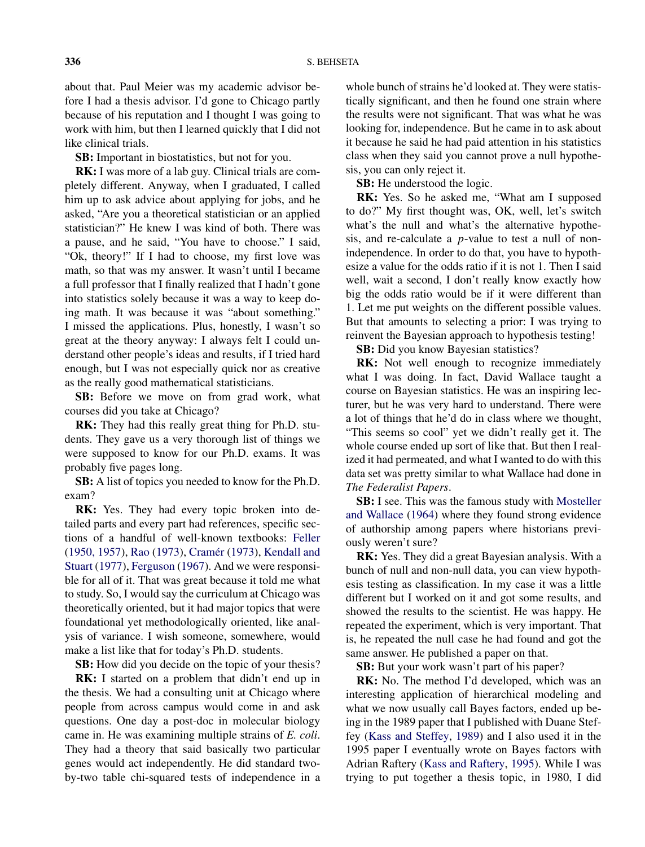about that. Paul Meier was my academic advisor before I had a thesis advisor. I'd gone to Chicago partly because of his reputation and I thought I was going to work with him, but then I learned quickly that I did not like clinical trials.

**SB:** Important in biostatistics, but not for you.

**RK:** I was more of a lab guy. Clinical trials are completely different. Anyway, when I graduated, I called him up to ask advice about applying for jobs, and he asked, "Are you a theoretical statistician or an applied statistician?" He knew I was kind of both. There was a pause, and he said, "You have to choose." I said, "Ok, theory!" If I had to choose, my first love was math, so that was my answer. It wasn't until I became a full professor that I finally realized that I hadn't gone into statistics solely because it was a way to keep doing math. It was because it was "about something." I missed the applications. Plus, honestly, I wasn't so great at the theory anyway: I always felt I could understand other people's ideas and results, if I tried hard enough, but I was not especially quick nor as creative as the really good mathematical statisticians.

**SB:** Before we move on from grad work, what courses did you take at Chicago?

**RK:** They had this really great thing for Ph.D. students. They gave us a very thorough list of things we were supposed to know for our Ph.D. exams. It was probably five pages long.

**SB:** A list of topics you needed to know for the Ph.D. exam?

**RK:** Yes. They had every topic broken into detailed parts and every part had references, specific sections of a handful of well-known textbooks: [Feller](#page-14-0) [\(1950, 1957\)](#page-14-0), [Rao](#page-14-0) [\(1973\)](#page-14-0), [Cramér](#page-14-0) [\(1973\)](#page-14-0), [Kendall and](#page-14-0) [Stuart](#page-14-0) [\(1977\)](#page-14-0), [Ferguson](#page-14-0) [\(1967\)](#page-14-0). And we were responsible for all of it. That was great because it told me what to study. So, I would say the curriculum at Chicago was theoretically oriented, but it had major topics that were foundational yet methodologically oriented, like analysis of variance. I wish someone, somewhere, would make a list like that for today's Ph.D. students.

**SB:** How did you decide on the topic of your thesis?

**RK:** I started on a problem that didn't end up in the thesis. We had a consulting unit at Chicago where people from across campus would come in and ask questions. One day a post-doc in molecular biology came in. He was examining multiple strains of *E. coli*. They had a theory that said basically two particular genes would act independently. He did standard twoby-two table chi-squared tests of independence in a whole bunch of strains he'd looked at. They were statistically significant, and then he found one strain where the results were not significant. That was what he was looking for, independence. But he came in to ask about it because he said he had paid attention in his statistics class when they said you cannot prove a null hypothesis, you can only reject it.

**SB:** He understood the logic.

**RK:** Yes. So he asked me, "What am I supposed to do?" My first thought was, OK, well, let's switch what's the null and what's the alternative hypothesis, and re-calculate a *p*-value to test a null of nonindependence. In order to do that, you have to hypothesize a value for the odds ratio if it is not 1. Then I said well, wait a second, I don't really know exactly how big the odds ratio would be if it were different than 1. Let me put weights on the different possible values. But that amounts to selecting a prior: I was trying to reinvent the Bayesian approach to hypothesis testing!

**SB:** Did you know Bayesian statistics?

**RK:** Not well enough to recognize immediately what I was doing. In fact, David Wallace taught a course on Bayesian statistics. He was an inspiring lecturer, but he was very hard to understand. There were a lot of things that he'd do in class where we thought, "This seems so cool" yet we didn't really get it. The whole course ended up sort of like that. But then I realized it had permeated, and what I wanted to do with this data set was pretty similar to what Wallace had done in *The Federalist Papers*.

**SB:** I see. This was the famous study with [Mosteller](#page-14-0) [and Wallace](#page-14-0) [\(1964\)](#page-14-0) where they found strong evidence of authorship among papers where historians previously weren't sure?

**RK:** Yes. They did a great Bayesian analysis. With a bunch of null and non-null data, you can view hypothesis testing as classification. In my case it was a little different but I worked on it and got some results, and showed the results to the scientist. He was happy. He repeated the experiment, which is very important. That is, he repeated the null case he had found and got the same answer. He published a paper on that.

**SB:** But your work wasn't part of his paper?

**RK:** No. The method I'd developed, which was an interesting application of hierarchical modeling and what we now usually call Bayes factors, ended up being in the 1989 paper that I published with Duane Steffey [\(Kass and Steffey,](#page-14-0) [1989\)](#page-14-0) and I also used it in the 1995 paper I eventually wrote on Bayes factors with Adrian Raftery [\(Kass and Raftery,](#page-14-0) [1995\)](#page-14-0). While I was trying to put together a thesis topic, in 1980, I did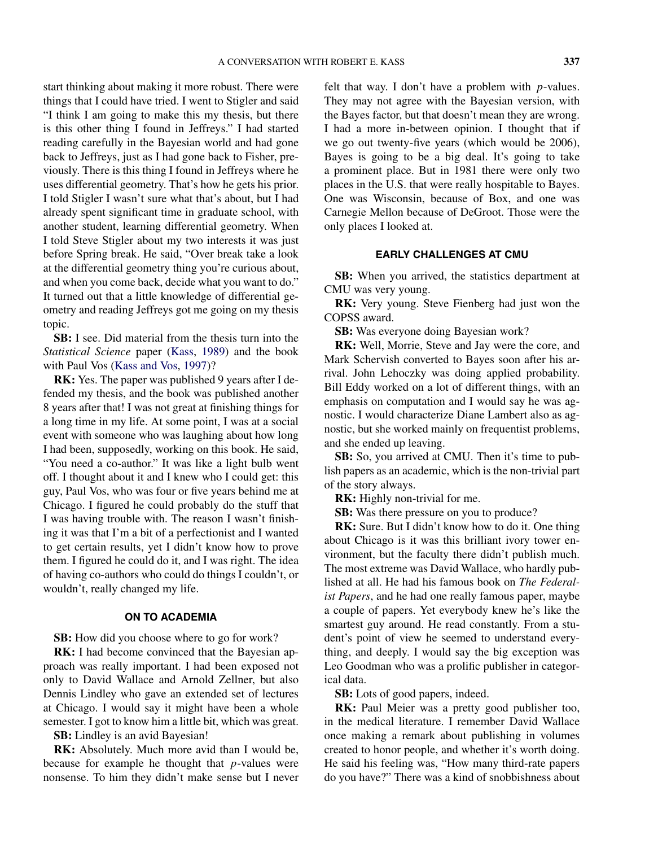start thinking about making it more robust. There were things that I could have tried. I went to Stigler and said "I think I am going to make this my thesis, but there is this other thing I found in Jeffreys." I had started reading carefully in the Bayesian world and had gone back to Jeffreys, just as I had gone back to Fisher, previously. There is this thing I found in Jeffreys where he uses differential geometry. That's how he gets his prior. I told Stigler I wasn't sure what that's about, but I had already spent significant time in graduate school, with another student, learning differential geometry. When I told Steve Stigler about my two interests it was just before Spring break. He said, "Over break take a look at the differential geometry thing you're curious about, and when you come back, decide what you want to do." It turned out that a little knowledge of differential geometry and reading Jeffreys got me going on my thesis topic.

**SB:** I see. Did material from the thesis turn into the *Statistical Science* paper [\(Kass,](#page-14-0) [1989\)](#page-14-0) and the book with Paul Vos [\(Kass and Vos,](#page-14-0) [1997\)](#page-14-0)?

**RK:** Yes. The paper was published 9 years after I defended my thesis, and the book was published another 8 years after that! I was not great at finishing things for a long time in my life. At some point, I was at a social event with someone who was laughing about how long I had been, supposedly, working on this book. He said, "You need a co-author." It was like a light bulb went off. I thought about it and I knew who I could get: this guy, Paul Vos, who was four or five years behind me at Chicago. I figured he could probably do the stuff that I was having trouble with. The reason I wasn't finishing it was that I'm a bit of a perfectionist and I wanted to get certain results, yet I didn't know how to prove them. I figured he could do it, and I was right. The idea of having co-authors who could do things I couldn't, or wouldn't, really changed my life.

### **ON TO ACADEMIA**

**SB:** How did you choose where to go for work?

**RK:** I had become convinced that the Bayesian approach was really important. I had been exposed not only to David Wallace and Arnold Zellner, but also Dennis Lindley who gave an extended set of lectures at Chicago. I would say it might have been a whole semester. I got to know him a little bit, which was great.

**SB:** Lindley is an avid Bayesian!

**RK:** Absolutely. Much more avid than I would be, because for example he thought that *p*-values were nonsense. To him they didn't make sense but I never felt that way. I don't have a problem with *p*-values. They may not agree with the Bayesian version, with the Bayes factor, but that doesn't mean they are wrong. I had a more in-between opinion. I thought that if we go out twenty-five years (which would be 2006), Bayes is going to be a big deal. It's going to take a prominent place. But in 1981 there were only two places in the U.S. that were really hospitable to Bayes. One was Wisconsin, because of Box, and one was Carnegie Mellon because of DeGroot. Those were the only places I looked at.

#### **EARLY CHALLENGES AT CMU**

**SB:** When you arrived, the statistics department at CMU was very young.

**RK:** Very young. Steve Fienberg had just won the COPSS award.

**SB:** Was everyone doing Bayesian work?

**RK:** Well, Morrie, Steve and Jay were the core, and Mark Schervish converted to Bayes soon after his arrival. John Lehoczky was doing applied probability. Bill Eddy worked on a lot of different things, with an emphasis on computation and I would say he was agnostic. I would characterize Diane Lambert also as agnostic, but she worked mainly on frequentist problems, and she ended up leaving.

**SB:** So, you arrived at CMU. Then it's time to publish papers as an academic, which is the non-trivial part of the story always.

**RK:** Highly non-trivial for me.

**SB:** Was there pressure on you to produce?

**RK:** Sure. But I didn't know how to do it. One thing about Chicago is it was this brilliant ivory tower environment, but the faculty there didn't publish much. The most extreme was David Wallace, who hardly published at all. He had his famous book on *The Federalist Papers*, and he had one really famous paper, maybe a couple of papers. Yet everybody knew he's like the smartest guy around. He read constantly. From a student's point of view he seemed to understand everything, and deeply. I would say the big exception was Leo Goodman who was a prolific publisher in categorical data.

**SB:** Lots of good papers, indeed.

**RK:** Paul Meier was a pretty good publisher too, in the medical literature. I remember David Wallace once making a remark about publishing in volumes created to honor people, and whether it's worth doing. He said his feeling was, "How many third-rate papers do you have?" There was a kind of snobbishness about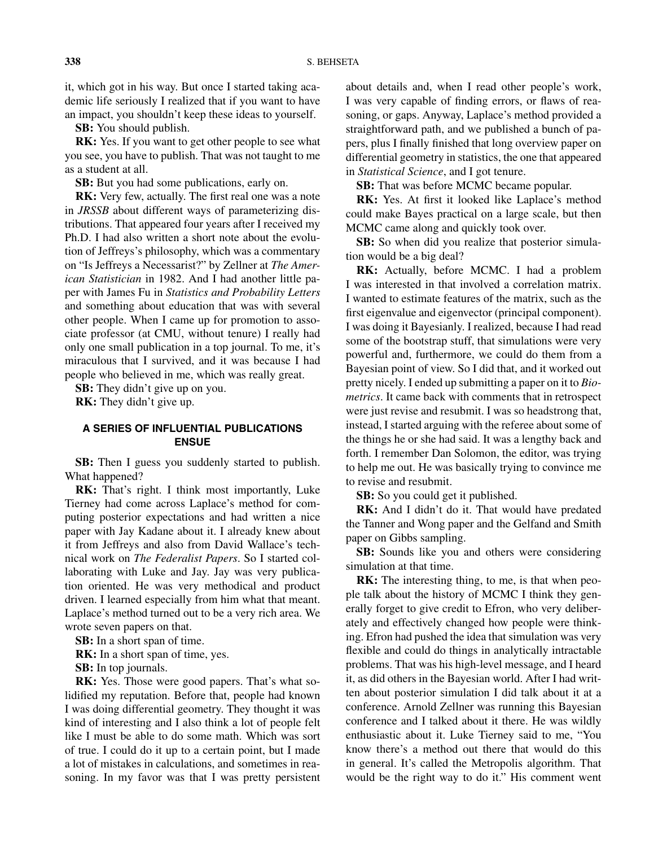it, which got in his way. But once I started taking academic life seriously I realized that if you want to have an impact, you shouldn't keep these ideas to yourself.

**SB:** You should publish.

**RK:** Yes. If you want to get other people to see what you see, you have to publish. That was not taught to me as a student at all.

**SB:** But you had some publications, early on.

**RK:** Very few, actually. The first real one was a note in *JRSSB* about different ways of parameterizing distributions. That appeared four years after I received my Ph.D. I had also written a short note about the evolution of Jeffreys's philosophy, which was a commentary on "Is Jeffreys a Necessarist?" by Zellner at *The American Statistician* in 1982. And I had another little paper with James Fu in *Statistics and Probability Letters* and something about education that was with several other people. When I came up for promotion to associate professor (at CMU, without tenure) I really had only one small publication in a top journal. To me, it's miraculous that I survived, and it was because I had people who believed in me, which was really great.

**SB:** They didn't give up on you.

**RK:** They didn't give up.

## **A SERIES OF INFLUENTIAL PUBLICATIONS ENSUE**

**SB:** Then I guess you suddenly started to publish. What happened?

**RK:** That's right. I think most importantly, Luke Tierney had come across Laplace's method for computing posterior expectations and had written a nice paper with Jay Kadane about it. I already knew about it from Jeffreys and also from David Wallace's technical work on *The Federalist Papers*. So I started collaborating with Luke and Jay. Jay was very publication oriented. He was very methodical and product driven. I learned especially from him what that meant. Laplace's method turned out to be a very rich area. We wrote seven papers on that.

**SB:** In a short span of time.

**RK:** In a short span of time, yes.

**SB:** In top journals.

**RK:** Yes. Those were good papers. That's what solidified my reputation. Before that, people had known I was doing differential geometry. They thought it was kind of interesting and I also think a lot of people felt like I must be able to do some math. Which was sort of true. I could do it up to a certain point, but I made a lot of mistakes in calculations, and sometimes in reasoning. In my favor was that I was pretty persistent

about details and, when I read other people's work, I was very capable of finding errors, or flaws of reasoning, or gaps. Anyway, Laplace's method provided a straightforward path, and we published a bunch of papers, plus I finally finished that long overview paper on differential geometry in statistics, the one that appeared in *Statistical Science*, and I got tenure.

**SB:** That was before MCMC became popular.

**RK:** Yes. At first it looked like Laplace's method could make Bayes practical on a large scale, but then MCMC came along and quickly took over.

**SB:** So when did you realize that posterior simulation would be a big deal?

**RK:** Actually, before MCMC. I had a problem I was interested in that involved a correlation matrix. I wanted to estimate features of the matrix, such as the first eigenvalue and eigenvector (principal component). I was doing it Bayesianly. I realized, because I had read some of the bootstrap stuff, that simulations were very powerful and, furthermore, we could do them from a Bayesian point of view. So I did that, and it worked out pretty nicely. I ended up submitting a paper on it to *Biometrics*. It came back with comments that in retrospect were just revise and resubmit. I was so headstrong that, instead, I started arguing with the referee about some of the things he or she had said. It was a lengthy back and forth. I remember Dan Solomon, the editor, was trying to help me out. He was basically trying to convince me to revise and resubmit.

**SB:** So you could get it published.

**RK:** And I didn't do it. That would have predated the Tanner and Wong paper and the Gelfand and Smith paper on Gibbs sampling.

**SB:** Sounds like you and others were considering simulation at that time.

**RK:** The interesting thing, to me, is that when people talk about the history of MCMC I think they generally forget to give credit to Efron, who very deliberately and effectively changed how people were thinking. Efron had pushed the idea that simulation was very flexible and could do things in analytically intractable problems. That was his high-level message, and I heard it, as did others in the Bayesian world. After I had written about posterior simulation I did talk about it at a conference. Arnold Zellner was running this Bayesian conference and I talked about it there. He was wildly enthusiastic about it. Luke Tierney said to me, "You know there's a method out there that would do this in general. It's called the Metropolis algorithm. That would be the right way to do it." His comment went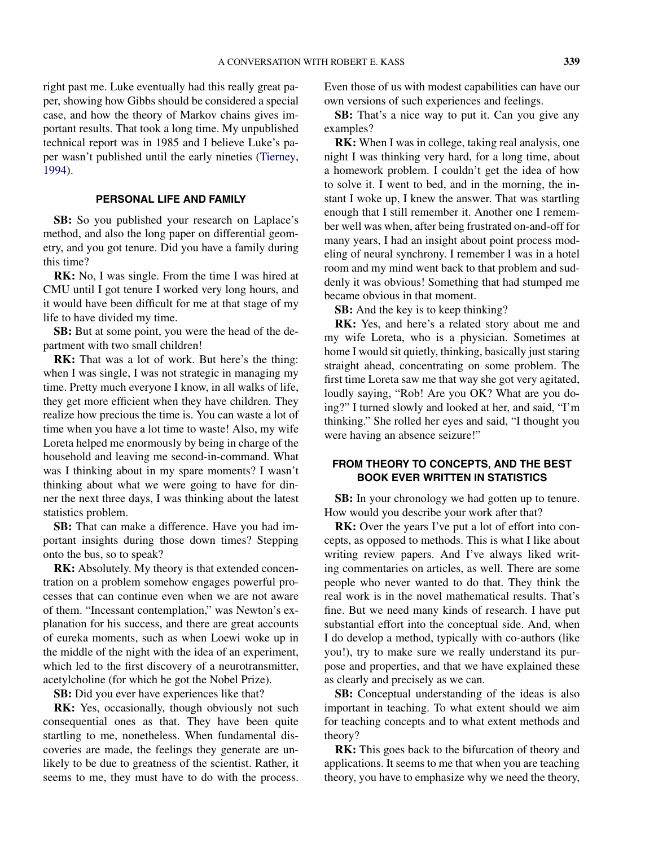right past me. Luke eventually had this really great paper, showing how Gibbs should be considered a special case, and how the theory of Markov chains gives important results. That took a long time. My unpublished technical report was in 1985 and I believe Luke's paper wasn't published until the early nineties [\(Tierney,](#page-14-0) [1994\)](#page-14-0).

#### **PERSONAL LIFE AND FAMILY**

**SB:** So you published your research on Laplace's method, and also the long paper on differential geometry, and you got tenure. Did you have a family during this time?

**RK:** No, I was single. From the time I was hired at CMU until I got tenure I worked very long hours, and it would have been difficult for me at that stage of my life to have divided my time.

**SB:** But at some point, you were the head of the department with two small children!

**RK:** That was a lot of work. But here's the thing: when I was single, I was not strategic in managing my time. Pretty much everyone I know, in all walks of life, they get more efficient when they have children. They realize how precious the time is. You can waste a lot of time when you have a lot time to waste! Also, my wife Loreta helped me enormously by being in charge of the household and leaving me second-in-command. What was I thinking about in my spare moments? I wasn't thinking about what we were going to have for dinner the next three days, I was thinking about the latest statistics problem.

**SB:** That can make a difference. Have you had important insights during those down times? Stepping onto the bus, so to speak?

**RK:** Absolutely. My theory is that extended concentration on a problem somehow engages powerful processes that can continue even when we are not aware of them. "Incessant contemplation," was Newton's explanation for his success, and there are great accounts of eureka moments, such as when Loewi woke up in the middle of the night with the idea of an experiment, which led to the first discovery of a neurotransmitter, acetylcholine (for which he got the Nobel Prize).

**SB:** Did you ever have experiences like that?

**RK:** Yes, occasionally, though obviously not such consequential ones as that. They have been quite startling to me, nonetheless. When fundamental discoveries are made, the feelings they generate are unlikely to be due to greatness of the scientist. Rather, it seems to me, they must have to do with the process.

Even those of us with modest capabilities can have our own versions of such experiences and feelings.

**SB:** That's a nice way to put it. Can you give any examples?

**RK:** When I was in college, taking real analysis, one night I was thinking very hard, for a long time, about a homework problem. I couldn't get the idea of how to solve it. I went to bed, and in the morning, the instant I woke up, I knew the answer. That was startling enough that I still remember it. Another one I remember well was when, after being frustrated on-and-off for many years, I had an insight about point process modeling of neural synchrony. I remember I was in a hotel room and my mind went back to that problem and suddenly it was obvious! Something that had stumped me became obvious in that moment.

**SB:** And the key is to keep thinking?

**RK:** Yes, and here's a related story about me and my wife Loreta, who is a physician. Sometimes at home I would sit quietly, thinking, basically just staring straight ahead, concentrating on some problem. The first time Loreta saw me that way she got very agitated, loudly saying, "Rob! Are you OK? What are you doing?" I turned slowly and looked at her, and said, "I'm thinking." She rolled her eyes and said, "I thought you were having an absence seizure!"

## **FROM THEORY TO CONCEPTS, AND THE BEST BOOK EVER WRITTEN IN STATISTICS**

**SB:** In your chronology we had gotten up to tenure. How would you describe your work after that?

**RK:** Over the years I've put a lot of effort into concepts, as opposed to methods. This is what I like about writing review papers. And I've always liked writing commentaries on articles, as well. There are some people who never wanted to do that. They think the real work is in the novel mathematical results. That's fine. But we need many kinds of research. I have put substantial effort into the conceptual side. And, when I do develop a method, typically with co-authors (like you!), try to make sure we really understand its purpose and properties, and that we have explained these as clearly and precisely as we can.

**SB:** Conceptual understanding of the ideas is also important in teaching. To what extent should we aim for teaching concepts and to what extent methods and theory?

**RK:** This goes back to the bifurcation of theory and applications. It seems to me that when you are teaching theory, you have to emphasize why we need the theory,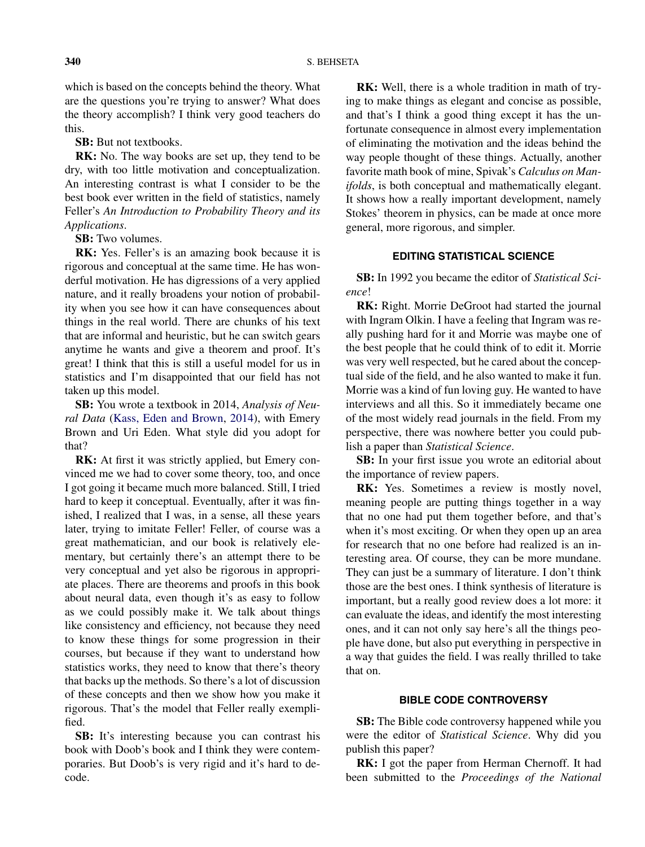which is based on the concepts behind the theory. What are the questions you're trying to answer? What does the theory accomplish? I think very good teachers do this.

**SB:** But not textbooks.

**RK:** No. The way books are set up, they tend to be dry, with too little motivation and conceptualization. An interesting contrast is what I consider to be the best book ever written in the field of statistics, namely Feller's *An Introduction to Probability Theory and its Applications*.

**SB:** Two volumes.

**RK:** Yes. Feller's is an amazing book because it is rigorous and conceptual at the same time. He has wonderful motivation. He has digressions of a very applied nature, and it really broadens your notion of probability when you see how it can have consequences about things in the real world. There are chunks of his text that are informal and heuristic, but he can switch gears anytime he wants and give a theorem and proof. It's great! I think that this is still a useful model for us in statistics and I'm disappointed that our field has not taken up this model.

**SB:** You wrote a textbook in 2014, *Analysis of Neural Data* [\(Kass, Eden and Brown,](#page-14-0) [2014\)](#page-14-0), with Emery Brown and Uri Eden. What style did you adopt for that?

**RK:** At first it was strictly applied, but Emery convinced me we had to cover some theory, too, and once I got going it became much more balanced. Still, I tried hard to keep it conceptual. Eventually, after it was finished, I realized that I was, in a sense, all these years later, trying to imitate Feller! Feller, of course was a great mathematician, and our book is relatively elementary, but certainly there's an attempt there to be very conceptual and yet also be rigorous in appropriate places. There are theorems and proofs in this book about neural data, even though it's as easy to follow as we could possibly make it. We talk about things like consistency and efficiency, not because they need to know these things for some progression in their courses, but because if they want to understand how statistics works, they need to know that there's theory that backs up the methods. So there's a lot of discussion of these concepts and then we show how you make it rigorous. That's the model that Feller really exemplified.

**SB:** It's interesting because you can contrast his book with Doob's book and I think they were contemporaries. But Doob's is very rigid and it's hard to decode.

**RK:** Well, there is a whole tradition in math of trying to make things as elegant and concise as possible, and that's I think a good thing except it has the unfortunate consequence in almost every implementation of eliminating the motivation and the ideas behind the way people thought of these things. Actually, another favorite math book of mine, Spivak's *Calculus on Manifolds*, is both conceptual and mathematically elegant. It shows how a really important development, namely Stokes' theorem in physics, can be made at once more general, more rigorous, and simpler.

### **EDITING STATISTICAL SCIENCE**

**SB:** In 1992 you became the editor of *Statistical Science*!

**RK:** Right. Morrie DeGroot had started the journal with Ingram Olkin. I have a feeling that Ingram was really pushing hard for it and Morrie was maybe one of the best people that he could think of to edit it. Morrie was very well respected, but he cared about the conceptual side of the field, and he also wanted to make it fun. Morrie was a kind of fun loving guy. He wanted to have interviews and all this. So it immediately became one of the most widely read journals in the field. From my perspective, there was nowhere better you could publish a paper than *Statistical Science*.

**SB:** In your first issue you wrote an editorial about the importance of review papers.

**RK:** Yes. Sometimes a review is mostly novel, meaning people are putting things together in a way that no one had put them together before, and that's when it's most exciting. Or when they open up an area for research that no one before had realized is an interesting area. Of course, they can be more mundane. They can just be a summary of literature. I don't think those are the best ones. I think synthesis of literature is important, but a really good review does a lot more: it can evaluate the ideas, and identify the most interesting ones, and it can not only say here's all the things people have done, but also put everything in perspective in a way that guides the field. I was really thrilled to take that on.

#### **BIBLE CODE CONTROVERSY**

**SB:** The Bible code controversy happened while you were the editor of *Statistical Science*. Why did you publish this paper?

**RK:** I got the paper from Herman Chernoff. It had been submitted to the *Proceedings of the National*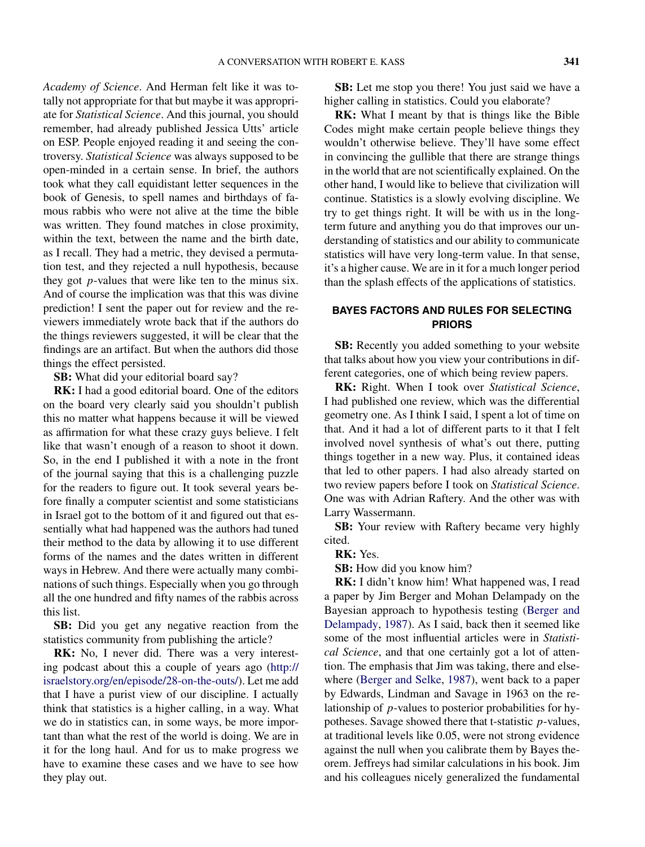*Academy of Science*. And Herman felt like it was totally not appropriate for that but maybe it was appropriate for *Statistical Science*. And this journal, you should remember, had already published Jessica Utts' article on ESP. People enjoyed reading it and seeing the controversy. *Statistical Science* was always supposed to be open-minded in a certain sense. In brief, the authors took what they call equidistant letter sequences in the book of Genesis, to spell names and birthdays of famous rabbis who were not alive at the time the bible was written. They found matches in close proximity, within the text, between the name and the birth date, as I recall. They had a metric, they devised a permutation test, and they rejected a null hypothesis, because they got *p*-values that were like ten to the minus six. And of course the implication was that this was divine prediction! I sent the paper out for review and the reviewers immediately wrote back that if the authors do the things reviewers suggested, it will be clear that the findings are an artifact. But when the authors did those things the effect persisted.

**SB:** What did your editorial board say?

**RK:** I had a good editorial board. One of the editors on the board very clearly said you shouldn't publish this no matter what happens because it will be viewed as affirmation for what these crazy guys believe. I felt like that wasn't enough of a reason to shoot it down. So, in the end I published it with a note in the front of the journal saying that this is a challenging puzzle for the readers to figure out. It took several years before finally a computer scientist and some statisticians in Israel got to the bottom of it and figured out that essentially what had happened was the authors had tuned their method to the data by allowing it to use different forms of the names and the dates written in different ways in Hebrew. And there were actually many combinations of such things. Especially when you go through all the one hundred and fifty names of the rabbis across this list.

**SB:** Did you get any negative reaction from the statistics community from publishing the article?

**RK:** No, I never did. There was a very interesting podcast about this a couple of years ago [\(http://](http://israelstory.org/en/episode/28-on-the-outs/) [israelstory.org/en/episode/28-on-the-outs/\)](http://israelstory.org/en/episode/28-on-the-outs/). Let me add that I have a purist view of our discipline. I actually think that statistics is a higher calling, in a way. What we do in statistics can, in some ways, be more important than what the rest of the world is doing. We are in it for the long haul. And for us to make progress we have to examine these cases and we have to see how they play out.

**SB:** Let me stop you there! You just said we have a higher calling in statistics. Could you elaborate?

**RK:** What I meant by that is things like the Bible Codes might make certain people believe things they wouldn't otherwise believe. They'll have some effect in convincing the gullible that there are strange things in the world that are not scientifically explained. On the other hand, I would like to believe that civilization will continue. Statistics is a slowly evolving discipline. We try to get things right. It will be with us in the longterm future and anything you do that improves our understanding of statistics and our ability to communicate statistics will have very long-term value. In that sense, it's a higher cause. We are in it for a much longer period than the splash effects of the applications of statistics.

## **BAYES FACTORS AND RULES FOR SELECTING PRIORS**

**SB:** Recently you added something to your website that talks about how you view your contributions in different categories, one of which being review papers.

**RK:** Right. When I took over *Statistical Science*, I had published one review, which was the differential geometry one. As I think I said, I spent a lot of time on that. And it had a lot of different parts to it that I felt involved novel synthesis of what's out there, putting things together in a new way. Plus, it contained ideas that led to other papers. I had also already started on two review papers before I took on *Statistical Science*. One was with Adrian Raftery. And the other was with Larry Wassermann.

**SB:** Your review with Raftery became very highly cited.

**RK:** Yes.

**SB:** How did you know him?

**RK:** I didn't know him! What happened was, I read a paper by Jim Berger and Mohan Delampady on the Bayesian approach to hypothesis testing [\(Berger and](#page-14-0) [Delampady,](#page-14-0) [1987\)](#page-14-0). As I said, back then it seemed like some of the most influential articles were in *Statistical Science*, and that one certainly got a lot of attention. The emphasis that Jim was taking, there and elsewhere [\(Berger and Selke,](#page-14-0) [1987\)](#page-14-0), went back to a paper by Edwards, Lindman and Savage in 1963 on the relationship of *p*-values to posterior probabilities for hypotheses. Savage showed there that t-statistic *p*-values, at traditional levels like 0.05, were not strong evidence against the null when you calibrate them by Bayes theorem. Jeffreys had similar calculations in his book. Jim and his colleagues nicely generalized the fundamental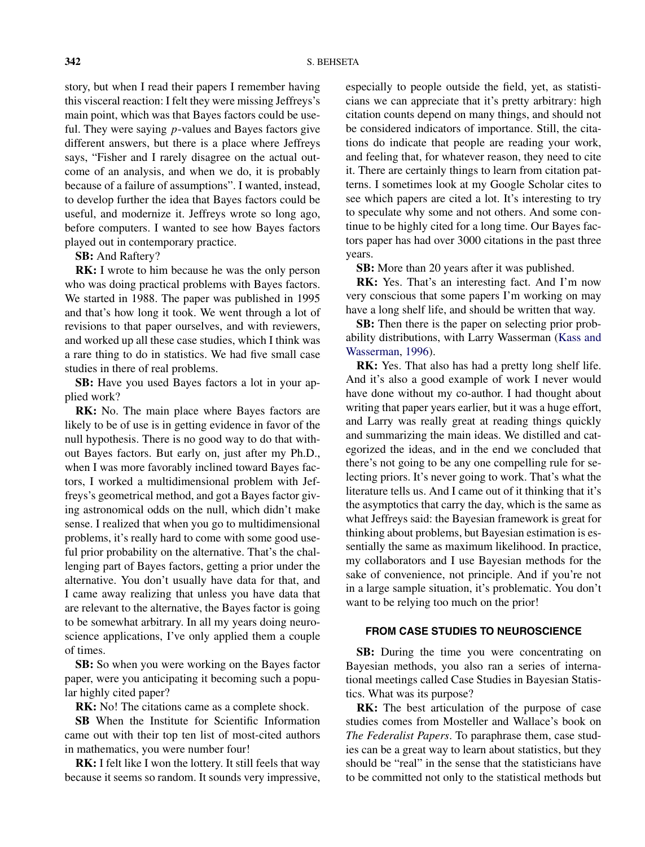story, but when I read their papers I remember having this visceral reaction: I felt they were missing Jeffreys's main point, which was that Bayes factors could be useful. They were saying *p*-values and Bayes factors give different answers, but there is a place where Jeffreys says, "Fisher and I rarely disagree on the actual outcome of an analysis, and when we do, it is probably because of a failure of assumptions". I wanted, instead, to develop further the idea that Bayes factors could be useful, and modernize it. Jeffreys wrote so long ago, before computers. I wanted to see how Bayes factors played out in contemporary practice.

**SB:** And Raftery?

**RK:** I wrote to him because he was the only person who was doing practical problems with Bayes factors. We started in 1988. The paper was published in 1995 and that's how long it took. We went through a lot of revisions to that paper ourselves, and with reviewers, and worked up all these case studies, which I think was a rare thing to do in statistics. We had five small case studies in there of real problems.

**SB:** Have you used Bayes factors a lot in your applied work?

**RK:** No. The main place where Bayes factors are likely to be of use is in getting evidence in favor of the null hypothesis. There is no good way to do that without Bayes factors. But early on, just after my Ph.D., when I was more favorably inclined toward Bayes factors, I worked a multidimensional problem with Jeffreys's geometrical method, and got a Bayes factor giving astronomical odds on the null, which didn't make sense. I realized that when you go to multidimensional problems, it's really hard to come with some good useful prior probability on the alternative. That's the challenging part of Bayes factors, getting a prior under the alternative. You don't usually have data for that, and I came away realizing that unless you have data that are relevant to the alternative, the Bayes factor is going to be somewhat arbitrary. In all my years doing neuroscience applications, I've only applied them a couple of times.

**SB:** So when you were working on the Bayes factor paper, were you anticipating it becoming such a popular highly cited paper?

**RK:** No! The citations came as a complete shock.

**SB** When the Institute for Scientific Information came out with their top ten list of most-cited authors in mathematics, you were number four!

**RK:** I felt like I won the lottery. It still feels that way because it seems so random. It sounds very impressive,

especially to people outside the field, yet, as statisticians we can appreciate that it's pretty arbitrary: high citation counts depend on many things, and should not be considered indicators of importance. Still, the citations do indicate that people are reading your work, and feeling that, for whatever reason, they need to cite it. There are certainly things to learn from citation patterns. I sometimes look at my Google Scholar cites to see which papers are cited a lot. It's interesting to try to speculate why some and not others. And some continue to be highly cited for a long time. Our Bayes factors paper has had over 3000 citations in the past three years.

**SB:** More than 20 years after it was published.

**RK:** Yes. That's an interesting fact. And I'm now very conscious that some papers I'm working on may have a long shelf life, and should be written that way.

**SB:** Then there is the paper on selecting prior probability distributions, with Larry Wasserman [\(Kass and](#page-14-0) [Wasserman,](#page-14-0) [1996\)](#page-14-0).

**RK:** Yes. That also has had a pretty long shelf life. And it's also a good example of work I never would have done without my co-author. I had thought about writing that paper years earlier, but it was a huge effort, and Larry was really great at reading things quickly and summarizing the main ideas. We distilled and categorized the ideas, and in the end we concluded that there's not going to be any one compelling rule for selecting priors. It's never going to work. That's what the literature tells us. And I came out of it thinking that it's the asymptotics that carry the day, which is the same as what Jeffreys said: the Bayesian framework is great for thinking about problems, but Bayesian estimation is essentially the same as maximum likelihood. In practice, my collaborators and I use Bayesian methods for the sake of convenience, not principle. And if you're not in a large sample situation, it's problematic. You don't want to be relying too much on the prior!

## **FROM CASE STUDIES TO NEUROSCIENCE**

**SB:** During the time you were concentrating on Bayesian methods, you also ran a series of international meetings called Case Studies in Bayesian Statistics. What was its purpose?

**RK:** The best articulation of the purpose of case studies comes from Mosteller and Wallace's book on *The Federalist Papers*. To paraphrase them, case studies can be a great way to learn about statistics, but they should be "real" in the sense that the statisticians have to be committed not only to the statistical methods but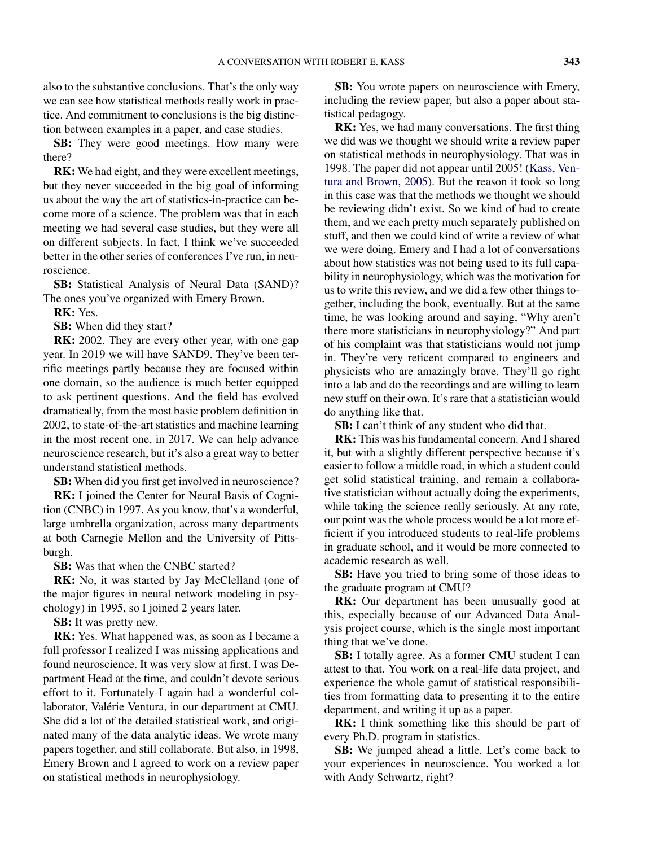also to the substantive conclusions. That's the only way we can see how statistical methods really work in practice. And commitment to conclusions is the big distinction between examples in a paper, and case studies.

**SB:** They were good meetings. How many were there?

**RK:** We had eight, and they were excellent meetings, but they never succeeded in the big goal of informing us about the way the art of statistics-in-practice can become more of a science. The problem was that in each meeting we had several case studies, but they were all on different subjects. In fact, I think we've succeeded better in the other series of conferences I've run, in neuroscience.

**SB:** Statistical Analysis of Neural Data (SAND)? The ones you've organized with Emery Brown.

**RK:** Yes.

**SB:** When did they start?

**RK:** 2002. They are every other year, with one gap year. In 2019 we will have SAND9. They've been terrific meetings partly because they are focused within one domain, so the audience is much better equipped to ask pertinent questions. And the field has evolved dramatically, from the most basic problem definition in 2002, to state-of-the-art statistics and machine learning in the most recent one, in 2017. We can help advance neuroscience research, but it's also a great way to better understand statistical methods.

**SB:** When did you first get involved in neuroscience?

**RK:** I joined the Center for Neural Basis of Cognition (CNBC) in 1997. As you know, that's a wonderful, large umbrella organization, across many departments at both Carnegie Mellon and the University of Pittsburgh.

**SB:** Was that when the CNBC started?

**RK:** No, it was started by Jay McClelland (one of the major figures in neural network modeling in psychology) in 1995, so I joined 2 years later.

**SB:** It was pretty new.

**RK:** Yes. What happened was, as soon as I became a full professor I realized I was missing applications and found neuroscience. It was very slow at first. I was Department Head at the time, and couldn't devote serious effort to it. Fortunately I again had a wonderful collaborator, Valérie Ventura, in our department at CMU. She did a lot of the detailed statistical work, and originated many of the data analytic ideas. We wrote many papers together, and still collaborate. But also, in 1998, Emery Brown and I agreed to work on a review paper on statistical methods in neurophysiology.

**SB:** You wrote papers on neuroscience with Emery, including the review paper, but also a paper about statistical pedagogy.

**RK:** Yes, we had many conversations. The first thing we did was we thought we should write a review paper on statistical methods in neurophysiology. That was in 1998. The paper did not appear until 2005! [\(Kass, Ven](#page-14-0)[tura and Brown,](#page-14-0) [2005\)](#page-14-0). But the reason it took so long in this case was that the methods we thought we should be reviewing didn't exist. So we kind of had to create them, and we each pretty much separately published on stuff, and then we could kind of write a review of what we were doing. Emery and I had a lot of conversations about how statistics was not being used to its full capability in neurophysiology, which was the motivation for us to write this review, and we did a few other things together, including the book, eventually. But at the same time, he was looking around and saying, "Why aren't there more statisticians in neurophysiology?" And part of his complaint was that statisticians would not jump in. They're very reticent compared to engineers and physicists who are amazingly brave. They'll go right into a lab and do the recordings and are willing to learn new stuff on their own. It's rare that a statistician would do anything like that.

**SB:** I can't think of any student who did that.

**RK:** This was his fundamental concern. And I shared it, but with a slightly different perspective because it's easier to follow a middle road, in which a student could get solid statistical training, and remain a collaborative statistician without actually doing the experiments, while taking the science really seriously. At any rate, our point was the whole process would be a lot more efficient if you introduced students to real-life problems in graduate school, and it would be more connected to academic research as well.

**SB:** Have you tried to bring some of those ideas to the graduate program at CMU?

**RK:** Our department has been unusually good at this, especially because of our Advanced Data Analysis project course, which is the single most important thing that we've done.

**SB:** I totally agree. As a former CMU student I can attest to that. You work on a real-life data project, and experience the whole gamut of statistical responsibilities from formatting data to presenting it to the entire department, and writing it up as a paper.

**RK:** I think something like this should be part of every Ph.D. program in statistics.

**SB:** We jumped ahead a little. Let's come back to your experiences in neuroscience. You worked a lot with Andy Schwartz, right?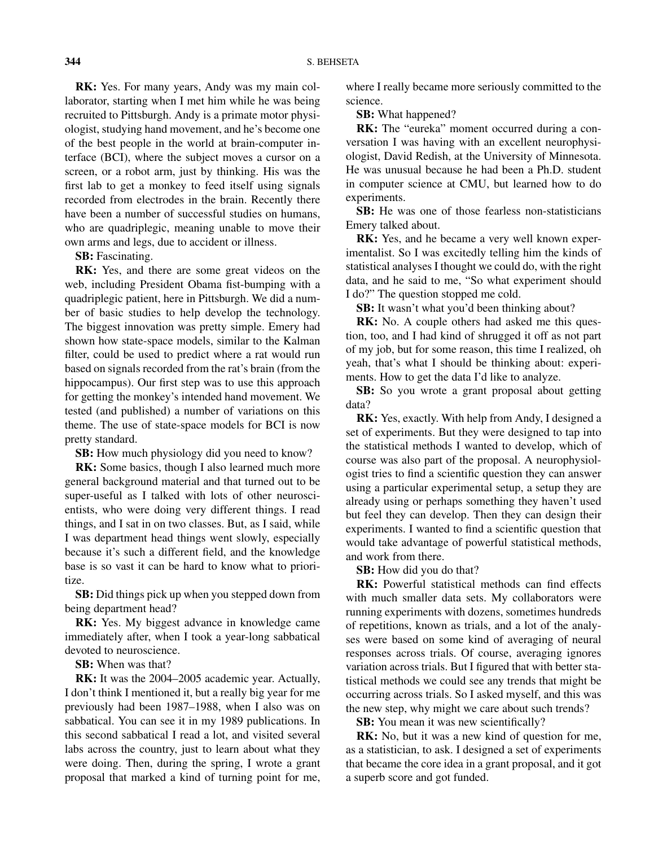**RK:** Yes. For many years, Andy was my main collaborator, starting when I met him while he was being recruited to Pittsburgh. Andy is a primate motor physiologist, studying hand movement, and he's become one of the best people in the world at brain-computer interface (BCI), where the subject moves a cursor on a screen, or a robot arm, just by thinking. His was the first lab to get a monkey to feed itself using signals recorded from electrodes in the brain. Recently there have been a number of successful studies on humans, who are quadriplegic, meaning unable to move their own arms and legs, due to accident or illness.

**SB:** Fascinating.

**RK:** Yes, and there are some great videos on the web, including President Obama fist-bumping with a quadriplegic patient, here in Pittsburgh. We did a number of basic studies to help develop the technology. The biggest innovation was pretty simple. Emery had shown how state-space models, similar to the Kalman filter, could be used to predict where a rat would run based on signals recorded from the rat's brain (from the hippocampus). Our first step was to use this approach for getting the monkey's intended hand movement. We tested (and published) a number of variations on this theme. The use of state-space models for BCI is now pretty standard.

**SB:** How much physiology did you need to know?

**RK:** Some basics, though I also learned much more general background material and that turned out to be super-useful as I talked with lots of other neuroscientists, who were doing very different things. I read things, and I sat in on two classes. But, as I said, while I was department head things went slowly, especially because it's such a different field, and the knowledge base is so vast it can be hard to know what to prioritize.

**SB:** Did things pick up when you stepped down from being department head?

**RK:** Yes. My biggest advance in knowledge came immediately after, when I took a year-long sabbatical devoted to neuroscience.

**SB:** When was that?

**RK:** It was the 2004–2005 academic year. Actually, I don't think I mentioned it, but a really big year for me previously had been 1987–1988, when I also was on sabbatical. You can see it in my 1989 publications. In this second sabbatical I read a lot, and visited several labs across the country, just to learn about what they were doing. Then, during the spring, I wrote a grant proposal that marked a kind of turning point for me, where I really became more seriously committed to the science.

**SB:** What happened?

**RK:** The "eureka" moment occurred during a conversation I was having with an excellent neurophysiologist, David Redish, at the University of Minnesota. He was unusual because he had been a Ph.D. student in computer science at CMU, but learned how to do experiments.

**SB:** He was one of those fearless non-statisticians Emery talked about.

**RK:** Yes, and he became a very well known experimentalist. So I was excitedly telling him the kinds of statistical analyses I thought we could do, with the right data, and he said to me, "So what experiment should I do?" The question stopped me cold.

**SB:** It wasn't what you'd been thinking about?

**RK:** No. A couple others had asked me this question, too, and I had kind of shrugged it off as not part of my job, but for some reason, this time I realized, oh yeah, that's what I should be thinking about: experiments. How to get the data I'd like to analyze.

**SB:** So you wrote a grant proposal about getting data?

**RK:** Yes, exactly. With help from Andy, I designed a set of experiments. But they were designed to tap into the statistical methods I wanted to develop, which of course was also part of the proposal. A neurophysiologist tries to find a scientific question they can answer using a particular experimental setup, a setup they are already using or perhaps something they haven't used but feel they can develop. Then they can design their experiments. I wanted to find a scientific question that would take advantage of powerful statistical methods, and work from there.

**SB:** How did you do that?

**RK:** Powerful statistical methods can find effects with much smaller data sets. My collaborators were running experiments with dozens, sometimes hundreds of repetitions, known as trials, and a lot of the analyses were based on some kind of averaging of neural responses across trials. Of course, averaging ignores variation across trials. But I figured that with better statistical methods we could see any trends that might be occurring across trials. So I asked myself, and this was the new step, why might we care about such trends?

**SB:** You mean it was new scientifically?

**RK:** No, but it was a new kind of question for me, as a statistician, to ask. I designed a set of experiments that became the core idea in a grant proposal, and it got a superb score and got funded.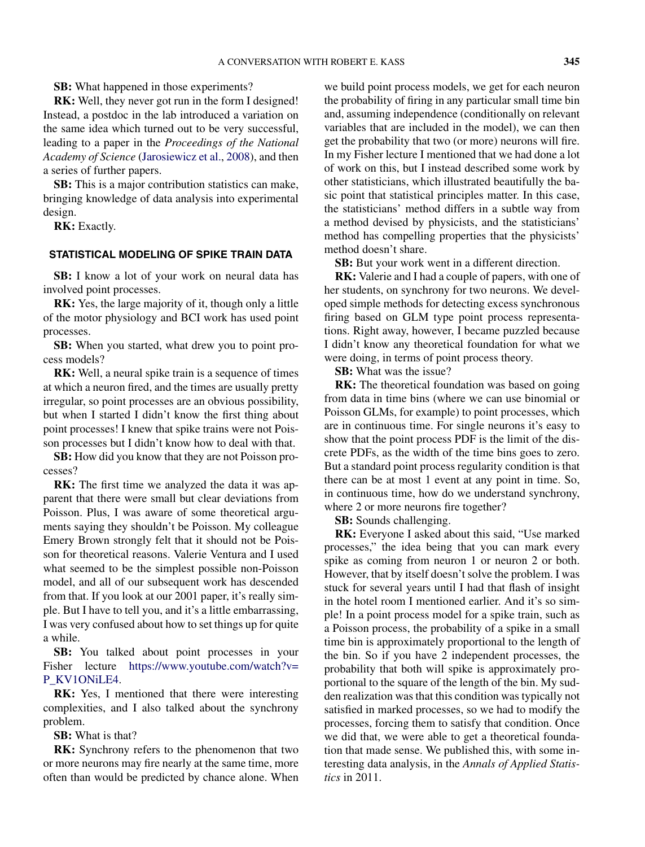**SB:** What happened in those experiments?

**RK:** Well, they never got run in the form I designed! Instead, a postdoc in the lab introduced a variation on the same idea which turned out to be very successful, leading to a paper in the *Proceedings of the National Academy of Science* [\(Jarosiewicz et al.,](#page-14-0) [2008\)](#page-14-0), and then a series of further papers.

**SB:** This is a major contribution statistics can make, bringing knowledge of data analysis into experimental design.

**RK:** Exactly.

### **STATISTICAL MODELING OF SPIKE TRAIN DATA**

**SB:** I know a lot of your work on neural data has involved point processes.

**RK:** Yes, the large majority of it, though only a little of the motor physiology and BCI work has used point processes.

**SB:** When you started, what drew you to point process models?

**RK:** Well, a neural spike train is a sequence of times at which a neuron fired, and the times are usually pretty irregular, so point processes are an obvious possibility, but when I started I didn't know the first thing about point processes! I knew that spike trains were not Poisson processes but I didn't know how to deal with that.

**SB:** How did you know that they are not Poisson processes?

**RK:** The first time we analyzed the data it was apparent that there were small but clear deviations from Poisson. Plus, I was aware of some theoretical arguments saying they shouldn't be Poisson. My colleague Emery Brown strongly felt that it should not be Poisson for theoretical reasons. Valerie Ventura and I used what seemed to be the simplest possible non-Poisson model, and all of our subsequent work has descended from that. If you look at our 2001 paper, it's really simple. But I have to tell you, and it's a little embarrassing, I was very confused about how to set things up for quite a while.

**SB:** You talked about point processes in your Fisher lecture [https://www.youtube.com/watch?v=](https://www.youtube.com/watch?v=P_KV1ONiLE4) [P\\_KV1ONiLE4](https://www.youtube.com/watch?v=P_KV1ONiLE4).

**RK:** Yes, I mentioned that there were interesting complexities, and I also talked about the synchrony problem.

**SB:** What is that?

**RK:** Synchrony refers to the phenomenon that two or more neurons may fire nearly at the same time, more often than would be predicted by chance alone. When

we build point process models, we get for each neuron the probability of firing in any particular small time bin and, assuming independence (conditionally on relevant variables that are included in the model), we can then get the probability that two (or more) neurons will fire. In my Fisher lecture I mentioned that we had done a lot of work on this, but I instead described some work by other statisticians, which illustrated beautifully the basic point that statistical principles matter. In this case, the statisticians' method differs in a subtle way from a method devised by physicists, and the statisticians' method has compelling properties that the physicists' method doesn't share.

**SB:** But your work went in a different direction.

**RK:** Valerie and I had a couple of papers, with one of her students, on synchrony for two neurons. We developed simple methods for detecting excess synchronous firing based on GLM type point process representations. Right away, however, I became puzzled because I didn't know any theoretical foundation for what we were doing, in terms of point process theory.

**SB:** What was the issue?

**RK:** The theoretical foundation was based on going from data in time bins (where we can use binomial or Poisson GLMs, for example) to point processes, which are in continuous time. For single neurons it's easy to show that the point process PDF is the limit of the discrete PDFs, as the width of the time bins goes to zero. But a standard point process regularity condition is that there can be at most 1 event at any point in time. So, in continuous time, how do we understand synchrony, where 2 or more neurons fire together?

**SB:** Sounds challenging.

**RK:** Everyone I asked about this said, "Use marked processes," the idea being that you can mark every spike as coming from neuron 1 or neuron 2 or both. However, that by itself doesn't solve the problem. I was stuck for several years until I had that flash of insight in the hotel room I mentioned earlier. And it's so simple! In a point process model for a spike train, such as a Poisson process, the probability of a spike in a small time bin is approximately proportional to the length of the bin. So if you have 2 independent processes, the probability that both will spike is approximately proportional to the square of the length of the bin. My sudden realization was that this condition was typically not satisfied in marked processes, so we had to modify the processes, forcing them to satisfy that condition. Once we did that, we were able to get a theoretical foundation that made sense. We published this, with some interesting data analysis, in the *Annals of Applied Statistics* in 2011.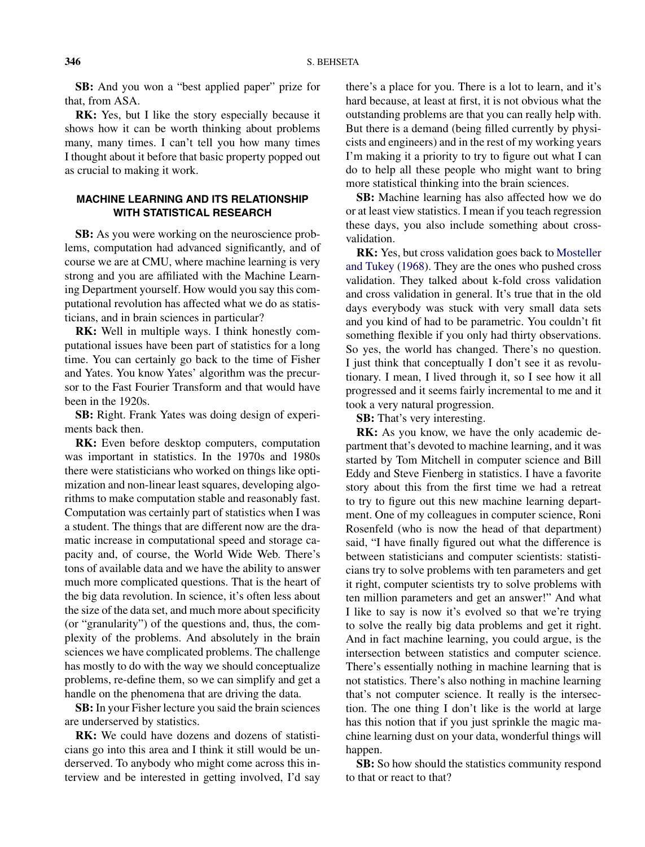**SB:** And you won a "best applied paper" prize for that, from ASA.

**RK:** Yes, but I like the story especially because it shows how it can be worth thinking about problems many, many times. I can't tell you how many times I thought about it before that basic property popped out as crucial to making it work.

## **MACHINE LEARNING AND ITS RELATIONSHIP WITH STATISTICAL RESEARCH**

**SB:** As you were working on the neuroscience problems, computation had advanced significantly, and of course we are at CMU, where machine learning is very strong and you are affiliated with the Machine Learning Department yourself. How would you say this computational revolution has affected what we do as statisticians, and in brain sciences in particular?

**RK:** Well in multiple ways. I think honestly computational issues have been part of statistics for a long time. You can certainly go back to the time of Fisher and Yates. You know Yates' algorithm was the precursor to the Fast Fourier Transform and that would have been in the 1920s.

**SB:** Right. Frank Yates was doing design of experiments back then.

**RK:** Even before desktop computers, computation was important in statistics. In the 1970s and 1980s there were statisticians who worked on things like optimization and non-linear least squares, developing algorithms to make computation stable and reasonably fast. Computation was certainly part of statistics when I was a student. The things that are different now are the dramatic increase in computational speed and storage capacity and, of course, the World Wide Web. There's tons of available data and we have the ability to answer much more complicated questions. That is the heart of the big data revolution. In science, it's often less about the size of the data set, and much more about specificity (or "granularity") of the questions and, thus, the complexity of the problems. And absolutely in the brain sciences we have complicated problems. The challenge has mostly to do with the way we should conceptualize problems, re-define them, so we can simplify and get a handle on the phenomena that are driving the data.

**SB:** In your Fisher lecture you said the brain sciences are underserved by statistics.

**RK:** We could have dozens and dozens of statisticians go into this area and I think it still would be underserved. To anybody who might come across this interview and be interested in getting involved, I'd say there's a place for you. There is a lot to learn, and it's hard because, at least at first, it is not obvious what the outstanding problems are that you can really help with. But there is a demand (being filled currently by physicists and engineers) and in the rest of my working years I'm making it a priority to try to figure out what I can do to help all these people who might want to bring more statistical thinking into the brain sciences.

**SB:** Machine learning has also affected how we do or at least view statistics. I mean if you teach regression these days, you also include something about crossvalidation.

**RK:** Yes, but cross validation goes back to [Mosteller](#page-14-0) [and Tukey](#page-14-0) [\(1968\)](#page-14-0). They are the ones who pushed cross validation. They talked about k-fold cross validation and cross validation in general. It's true that in the old days everybody was stuck with very small data sets and you kind of had to be parametric. You couldn't fit something flexible if you only had thirty observations. So yes, the world has changed. There's no question. I just think that conceptually I don't see it as revolutionary. I mean, I lived through it, so I see how it all progressed and it seems fairly incremental to me and it took a very natural progression.

**SB:** That's very interesting.

**RK:** As you know, we have the only academic department that's devoted to machine learning, and it was started by Tom Mitchell in computer science and Bill Eddy and Steve Fienberg in statistics. I have a favorite story about this from the first time we had a retreat to try to figure out this new machine learning department. One of my colleagues in computer science, Roni Rosenfeld (who is now the head of that department) said, "I have finally figured out what the difference is between statisticians and computer scientists: statisticians try to solve problems with ten parameters and get it right, computer scientists try to solve problems with ten million parameters and get an answer!" And what I like to say is now it's evolved so that we're trying to solve the really big data problems and get it right. And in fact machine learning, you could argue, is the intersection between statistics and computer science. There's essentially nothing in machine learning that is not statistics. There's also nothing in machine learning that's not computer science. It really is the intersection. The one thing I don't like is the world at large has this notion that if you just sprinkle the magic machine learning dust on your data, wonderful things will happen.

**SB:** So how should the statistics community respond to that or react to that?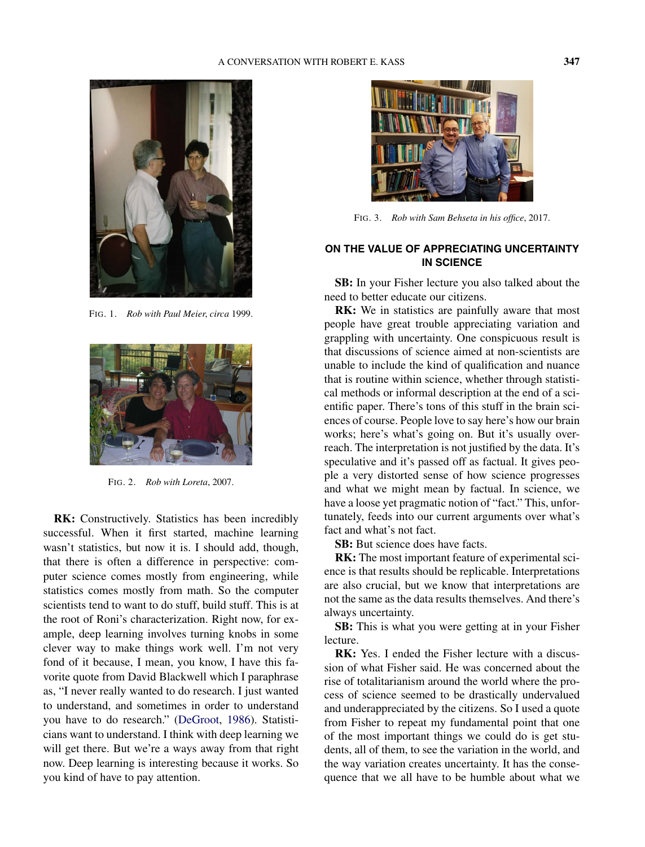

FIG. 1. *Rob with Paul Meier*, *circa* 1999.



FIG. 2. *Rob with Loreta*, 2007.

**RK:** Constructively. Statistics has been incredibly successful. When it first started, machine learning wasn't statistics, but now it is. I should add, though, that there is often a difference in perspective: computer science comes mostly from engineering, while statistics comes mostly from math. So the computer scientists tend to want to do stuff, build stuff. This is at the root of Roni's characterization. Right now, for example, deep learning involves turning knobs in some clever way to make things work well. I'm not very fond of it because, I mean, you know, I have this favorite quote from David Blackwell which I paraphrase as, "I never really wanted to do research. I just wanted to understand, and sometimes in order to understand you have to do research." [\(DeGroot,](#page-14-0) [1986\)](#page-14-0). Statisticians want to understand. I think with deep learning we will get there. But we're a ways away from that right now. Deep learning is interesting because it works. So you kind of have to pay attention.



FIG. 3. *Rob with Sam Behseta in his office*, 2017.

## **ON THE VALUE OF APPRECIATING UNCERTAINTY IN SCIENCE**

**SB:** In your Fisher lecture you also talked about the need to better educate our citizens.

**RK:** We in statistics are painfully aware that most people have great trouble appreciating variation and grappling with uncertainty. One conspicuous result is that discussions of science aimed at non-scientists are unable to include the kind of qualification and nuance that is routine within science, whether through statistical methods or informal description at the end of a scientific paper. There's tons of this stuff in the brain sciences of course. People love to say here's how our brain works; here's what's going on. But it's usually overreach. The interpretation is not justified by the data. It's speculative and it's passed off as factual. It gives people a very distorted sense of how science progresses and what we might mean by factual. In science, we have a loose yet pragmatic notion of "fact." This, unfortunately, feeds into our current arguments over what's fact and what's not fact.

**SB:** But science does have facts.

**RK:** The most important feature of experimental science is that results should be replicable. Interpretations are also crucial, but we know that interpretations are not the same as the data results themselves. And there's always uncertainty.

**SB:** This is what you were getting at in your Fisher lecture.

**RK:** Yes. I ended the Fisher lecture with a discussion of what Fisher said. He was concerned about the rise of totalitarianism around the world where the process of science seemed to be drastically undervalued and underappreciated by the citizens. So I used a quote from Fisher to repeat my fundamental point that one of the most important things we could do is get students, all of them, to see the variation in the world, and the way variation creates uncertainty. It has the consequence that we all have to be humble about what we